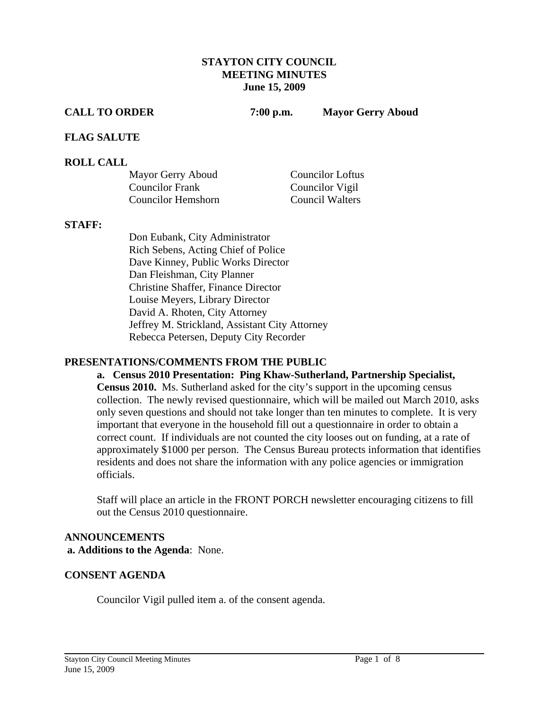#### **STAYTON CITY COUNCIL MEETING MINUTES June 15, 2009**

**CALL TO ORDER 7:00 p.m. Mayor Gerry Aboud** 

#### **FLAG SALUTE**

#### **ROLL CALL**

| Mayor Gerry Aboud         | <b>Councilor Loftus</b> |
|---------------------------|-------------------------|
| <b>Councilor Frank</b>    | Councilor Vigil         |
| <b>Councilor Hemshorn</b> | <b>Council Walters</b>  |

#### **STAFF:**

Don Eubank, City Administrator Rich Sebens, Acting Chief of Police Dave Kinney, Public Works Director Dan Fleishman, City Planner Christine Shaffer, Finance Director Louise Meyers, Library Director David A. Rhoten, City Attorney Jeffrey M. Strickland, Assistant City Attorney Rebecca Petersen, Deputy City Recorder

#### **PRESENTATIONS/COMMENTS FROM THE PUBLIC**

**a. Census 2010 Presentation: Ping Khaw-Sutherland, Partnership Specialist, Census 2010.** Ms. Sutherland asked for the city's support in the upcoming census collection. The newly revised questionnaire, which will be mailed out March 2010, asks only seven questions and should not take longer than ten minutes to complete. It is very important that everyone in the household fill out a questionnaire in order to obtain a correct count. If individuals are not counted the city looses out on funding, at a rate of approximately \$1000 per person. The Census Bureau protects information that identifies residents and does not share the information with any police agencies or immigration officials.

Staff will place an article in the FRONT PORCH newsletter encouraging citizens to fill out the Census 2010 questionnaire.

# **ANNOUNCEMENTS a. Additions to the Agenda**: None.

#### **CONSENT AGENDA**

Councilor Vigil pulled item a. of the consent agenda.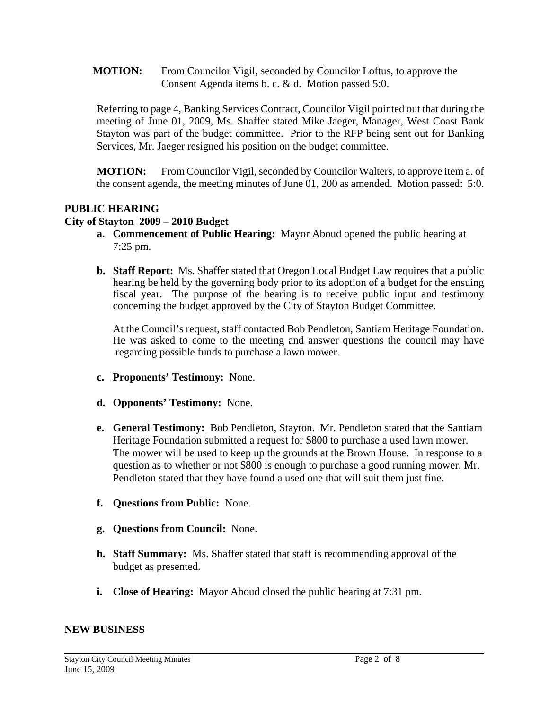**MOTION:** From Councilor Vigil, seconded by Councilor Loftus, to approve the Consent Agenda items b. c. & d. Motion passed 5:0.

Referring to page 4, Banking Services Contract, Councilor Vigil pointed out that during the meeting of June 01, 2009, Ms. Shaffer stated Mike Jaeger, Manager, West Coast Bank Stayton was part of the budget committee. Prior to the RFP being sent out for Banking Services, Mr. Jaeger resigned his position on the budget committee.

**MOTION:** From Councilor Vigil, seconded by Councilor Walters, to approve item a. of the consent agenda, the meeting minutes of June 01, 200 as amended. Motion passed: 5:0.

# **PUBLIC HEARING**

# **City of Stayton 2009 – 2010 Budget**

- **a. Commencement of Public Hearing:** Mayor Aboud opened the public hearing at 7:25 pm.
- **b. Staff Report:** Ms. Shaffer stated that Oregon Local Budget Law requires that a public hearing be held by the governing body prior to its adoption of a budget for the ensuing fiscal year.The purpose of the hearing is to receive public input and testimony concerning the budget approved by the City of Stayton Budget Committee.

At the Council's request, staff contacted Bob Pendleton, Santiam Heritage Foundation. He was asked to come to the meeting and answer questions the council may have regarding possible funds to purchase a lawn mower.

- **c. Proponents' Testimony:** None.
- **d. Opponents' Testimony:** None.
- **e. General Testimony:** Bob Pendleton, Stayton. Mr. Pendleton stated that the Santiam Heritage Foundation submitted a request for \$800 to purchase a used lawn mower. The mower will be used to keep up the grounds at the Brown House. In response to a question as to whether or not \$800 is enough to purchase a good running mower, Mr. Pendleton stated that they have found a used one that will suit them just fine.
- **f. Questions from Public:** None.
- **g. Questions from Council:** None.
- **h. Staff Summary:** Ms. Shaffer stated that staff is recommending approval of the budget as presented.
- **i. Close of Hearing:** Mayor Aboud closed the public hearing at 7:31 pm.

#### **NEW BUSINESS**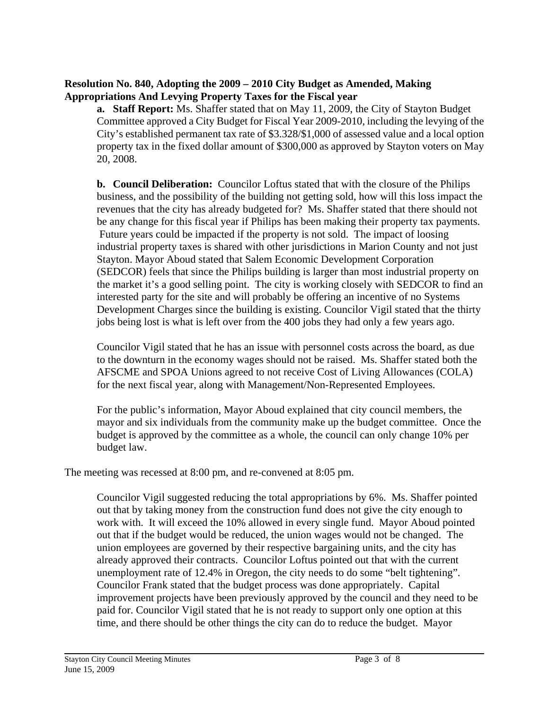# **Resolution No. 840, Adopting the 2009 – 2010 City Budget as Amended, Making Appropriations And Levying Property Taxes for the Fiscal year**

**a. Staff Report:** Ms. Shaffer stated that on May 11, 2009, the City of Stayton Budget Committee approved a City Budget for Fiscal Year 2009-2010, including the levying of the City's established permanent tax rate of \$3.328/\$1,000 of assessed value and a local option property tax in the fixed dollar amount of \$300,000 as approved by Stayton voters on May 20, 2008.

**b. Council Deliberation:** Councilor Loftus stated that with the closure of the Philips business, and the possibility of the building not getting sold, how will this loss impact the revenues that the city has already budgeted for? Ms. Shaffer stated that there should not be any change for this fiscal year if Philips has been making their property tax payments. Future years could be impacted if the property is not sold. The impact of loosing industrial property taxes is shared with other jurisdictions in Marion County and not just Stayton. Mayor Aboud stated that Salem Economic Development Corporation (SEDCOR) feels that since the Philips building is larger than most industrial property on the market it's a good selling point. The city is working closely with SEDCOR to find an interested party for the site and will probably be offering an incentive of no Systems Development Charges since the building is existing. Councilor Vigil stated that the thirty jobs being lost is what is left over from the 400 jobs they had only a few years ago.

Councilor Vigil stated that he has an issue with personnel costs across the board, as due to the downturn in the economy wages should not be raised. Ms. Shaffer stated both the AFSCME and SPOA Unions agreed to not receive Cost of Living Allowances (COLA) for the next fiscal year, along with Management/Non-Represented Employees.

For the public's information, Mayor Aboud explained that city council members, the mayor and six individuals from the community make up the budget committee. Once the budget is approved by the committee as a whole, the council can only change 10% per budget law.

The meeting was recessed at 8:00 pm, and re-convened at 8:05 pm.

 Councilor Vigil suggested reducing the total appropriations by 6%. Ms. Shaffer pointed out that by taking money from the construction fund does not give the city enough to work with. It will exceed the 10% allowed in every single fund. Mayor Aboud pointed out that if the budget would be reduced, the union wages would not be changed. The union employees are governed by their respective bargaining units, and the city has already approved their contracts. Councilor Loftus pointed out that with the current unemployment rate of 12.4% in Oregon, the city needs to do some "belt tightening". Councilor Frank stated that the budget process was done appropriately. Capital improvement projects have been previously approved by the council and they need to be paid for. Councilor Vigil stated that he is not ready to support only one option at this time, and there should be other things the city can do to reduce the budget. Mayor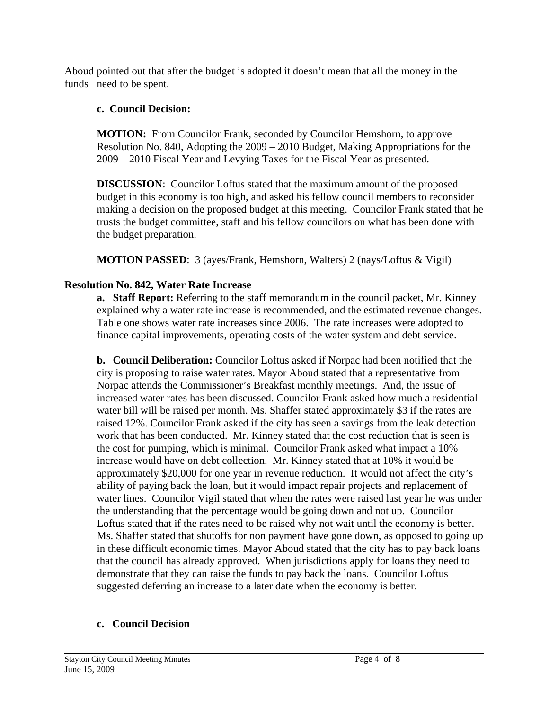Aboud pointed out that after the budget is adopted it doesn't mean that all the money in the funds need to be spent.

# **c. Council Decision:**

 **MOTION:** From Councilor Frank, seconded by Councilor Hemshorn, to approve Resolution No. 840, Adopting the 2009 – 2010 Budget, Making Appropriations for the 2009 – 2010 Fiscal Year and Levying Taxes for the Fiscal Year as presented.

**DISCUSSION**: Councilor Loftus stated that the maximum amount of the proposed budget in this economy is too high, and asked his fellow council members to reconsider making a decision on the proposed budget at this meeting. Councilor Frank stated that he trusts the budget committee, staff and his fellow councilors on what has been done with the budget preparation.

**MOTION PASSED**: 3 (ayes/Frank, Hemshorn, Walters) 2 (nays/Loftus & Vigil)

# **Resolution No. 842, Water Rate Increase**

**a. Staff Report:** Referring to the staff memorandum in the council packet, Mr. Kinney explained why a water rate increase is recommended, and the estimated revenue changes. Table one shows water rate increases since 2006. The rate increases were adopted to finance capital improvements, operating costs of the water system and debt service.

**b. Council Deliberation:** Councilor Loftus asked if Norpac had been notified that the city is proposing to raise water rates. Mayor Aboud stated that a representative from Norpac attends the Commissioner's Breakfast monthly meetings. And, the issue of increased water rates has been discussed. Councilor Frank asked how much a residential water bill will be raised per month. Ms. Shaffer stated approximately \$3 if the rates are raised 12%. Councilor Frank asked if the city has seen a savings from the leak detection work that has been conducted. Mr. Kinney stated that the cost reduction that is seen is the cost for pumping, which is minimal. Councilor Frank asked what impact a 10% increase would have on debt collection. Mr. Kinney stated that at 10% it would be approximately \$20,000 for one year in revenue reduction. It would not affect the city's ability of paying back the loan, but it would impact repair projects and replacement of water lines. Councilor Vigil stated that when the rates were raised last year he was under the understanding that the percentage would be going down and not up. Councilor Loftus stated that if the rates need to be raised why not wait until the economy is better. Ms. Shaffer stated that shutoffs for non payment have gone down, as opposed to going up in these difficult economic times. Mayor Aboud stated that the city has to pay back loans that the council has already approved. When jurisdictions apply for loans they need to demonstrate that they can raise the funds to pay back the loans. Councilor Loftus suggested deferring an increase to a later date when the economy is better.

# **c. Council Decision**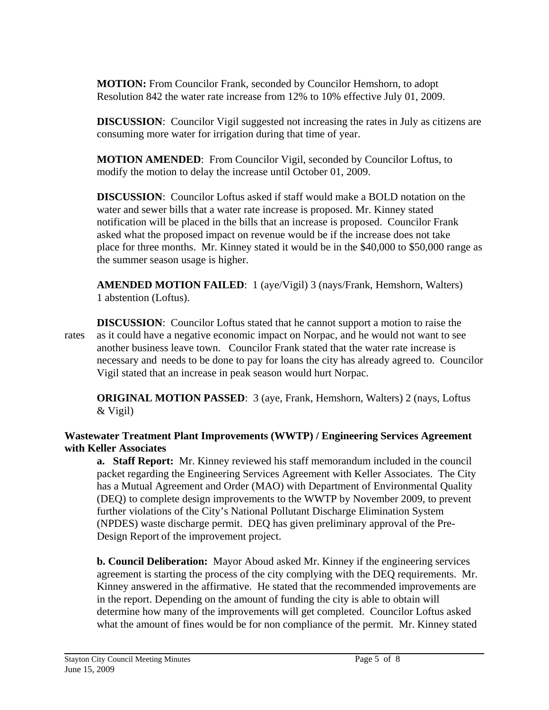**MOTION:** From Councilor Frank, seconded by Councilor Hemshorn, to adopt Resolution 842 the water rate increase from 12% to 10% effective July 01, 2009.

**DISCUSSION:** Councilor Vigil suggested not increasing the rates in July as citizens are consuming more water for irrigation during that time of year.

**MOTION AMENDED**: From Councilor Vigil, seconded by Councilor Loftus, to modify the motion to delay the increase until October 01, 2009.

**DISCUSSION**: Councilor Loftus asked if staff would make a BOLD notation on the water and sewer bills that a water rate increase is proposed. Mr. Kinney stated notification will be placed in the bills that an increase is proposed. Councilor Frank asked what the proposed impact on revenue would be if the increase does not take place for three months. Mr. Kinney stated it would be in the \$40,000 to \$50,000 range as the summer season usage is higher.

**AMENDED MOTION FAILED**: 1 (aye/Vigil) 3 (nays/Frank, Hemshorn, Walters) 1 abstention (Loftus).

**DISCUSSION**: Councilor Loftus stated that he cannot support a motion to raise the rates as it could have a negative economic impact on Norpac, and he would not want to see another business leave town. Councilor Frank stated that the water rate increase is necessary and needs to be done to pay for loans the city has already agreed to. Councilor Vigil stated that an increase in peak season would hurt Norpac.

**ORIGINAL MOTION PASSED**: 3 (aye, Frank, Hemshorn, Walters) 2 (nays, Loftus & Vigil)

# **Wastewater Treatment Plant Improvements (WWTP) / Engineering Services Agreement with Keller Associates**

 **a. Staff Report:** Mr. Kinney reviewed his staff memorandum included in the council packet regarding the Engineering Services Agreement with Keller Associates. The City has a Mutual Agreement and Order (MAO) with Department of Environmental Quality (DEQ) to complete design improvements to the WWTP by November 2009, to prevent further violations of the City's National Pollutant Discharge Elimination System (NPDES) waste discharge permit. DEQ has given preliminary approval of the Pre- Design Report of the improvement project.

**b. Council Deliberation:** Mayor Aboud asked Mr. Kinney if the engineering services agreement is starting the process of the city complying with the DEQ requirements. Mr. Kinney answered in the affirmative. He stated that the recommended improvements are in the report. Depending on the amount of funding the city is able to obtain will determine how many of the improvements will get completed. Councilor Loftus asked what the amount of fines would be for non compliance of the permit. Mr. Kinney stated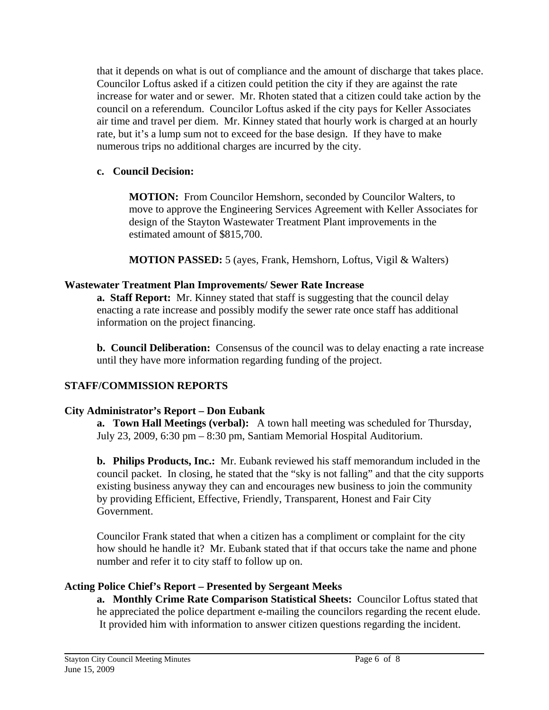that it depends on what is out of compliance and the amount of discharge that takes place. Councilor Loftus asked if a citizen could petition the city if they are against the rate increase for water and or sewer. Mr. Rhoten stated that a citizen could take action by the council on a referendum. Councilor Loftus asked if the city pays for Keller Associates air time and travel per diem. Mr. Kinney stated that hourly work is charged at an hourly rate, but it's a lump sum not to exceed for the base design. If they have to make numerous trips no additional charges are incurred by the city.

#### **c. Council Decision:**

 **MOTION:** From Councilor Hemshorn, seconded by Councilor Walters, to move to approve the Engineering Services Agreement with Keller Associates for design of the Stayton Wastewater Treatment Plant improvements in the estimated amount of \$815,700.

 **MOTION PASSED:** 5 (ayes, Frank, Hemshorn, Loftus, Vigil & Walters)

#### **Wastewater Treatment Plan Improvements/ Sewer Rate Increase**

 **a. Staff Report:** Mr. Kinney stated that staff is suggesting that the council delay enacting a rate increase and possibly modify the sewer rate once staff has additional information on the project financing.

 **b. Council Deliberation:** Consensus of the council was to delay enacting a rate increase until they have more information regarding funding of the project.

# **STAFF/COMMISSION REPORTS**

# **City Administrator's Report – Don Eubank**

**a. Town Hall Meetings (verbal):** A town hall meeting was scheduled for Thursday, July 23, 2009, 6:30 pm – 8:30 pm, Santiam Memorial Hospital Auditorium.

**b. Philips Products, Inc.:** Mr. Eubank reviewed his staff memorandum included in the council packet. In closing, he stated that the "sky is not falling" and that the city supports existing business anyway they can and encourages new business to join the community by providing Efficient, Effective, Friendly, Transparent, Honest and Fair City Government.

Councilor Frank stated that when a citizen has a compliment or complaint for the city how should he handle it? Mr. Eubank stated that if that occurs take the name and phone number and refer it to city staff to follow up on.

# **Acting Police Chief's Report – Presented by Sergeant Meeks**

**a. Monthly Crime Rate Comparison Statistical Sheets:** Councilor Loftus stated that he appreciated the police department e-mailing the councilors regarding the recent elude. It provided him with information to answer citizen questions regarding the incident.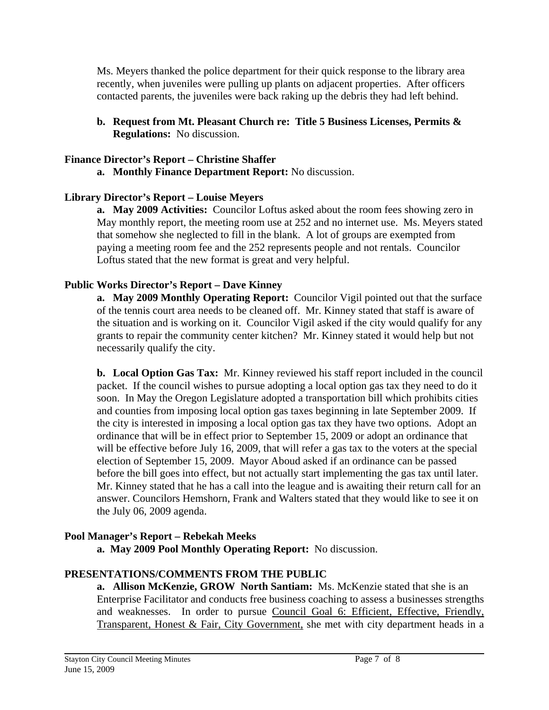Ms. Meyers thanked the police department for their quick response to the library area recently, when juveniles were pulling up plants on adjacent properties. After officers contacted parents, the juveniles were back raking up the debris they had left behind.

**b. Request from Mt. Pleasant Church re: Title 5 Business Licenses, Permits & Regulations:** No discussion.

#### **Finance Director's Report – Christine Shaffer**

 **a. Monthly Finance Department Report:** No discussion.

#### **Library Director's Report – Louise Meyers**

 **a. May 2009 Activities:** Councilor Loftus asked about the room fees showing zero in May monthly report, the meeting room use at 252 and no internet use. Ms. Meyers stated that somehow she neglected to fill in the blank. A lot of groups are exempted from paying a meeting room fee and the 252 represents people and not rentals. Councilor Loftus stated that the new format is great and very helpful.

# **Public Works Director's Report – Dave Kinney**

**a. May 2009 Monthly Operating Report:** Councilor Vigil pointed out that the surface of the tennis court area needs to be cleaned off. Mr. Kinney stated that staff is aware of the situation and is working on it. Councilor Vigil asked if the city would qualify for any grants to repair the community center kitchen? Mr. Kinney stated it would help but not necessarily qualify the city.

**b. Local Option Gas Tax:** Mr. Kinney reviewed his staff report included in the council packet. If the council wishes to pursue adopting a local option gas tax they need to do it soon.In May the Oregon Legislature adopted a transportation bill which prohibits cities and counties from imposing local option gas taxes beginning in late September 2009. If the city is interested in imposing a local option gas tax they have two options. Adopt an ordinance that will be in effect prior to September 15, 2009 or adopt an ordinance that will be effective before July 16, 2009, that will refer a gas tax to the voters at the special election of September 15, 2009. Mayor Aboud asked if an ordinance can be passed before the bill goes into effect, but not actually start implementing the gas tax until later. Mr. Kinney stated that he has a call into the league and is awaiting their return call for an answer. Councilors Hemshorn, Frank and Walters stated that they would like to see it on the July 06, 2009 agenda.

# **Pool Manager's Report – Rebekah Meeks**

 **a. May 2009 Pool Monthly Operating Report:** No discussion.

# **PRESENTATIONS/COMMENTS FROM THE PUBLIC**

**a. Allison McKenzie, GROW North Santiam:** Ms. McKenzie stated that she is an Enterprise Facilitator and conducts free business coaching to assess a businesses strengths and weaknesses. In order to pursue Council Goal 6: Efficient, Effective, Friendly, Transparent, Honest & Fair, City Government, she met with city department heads in a